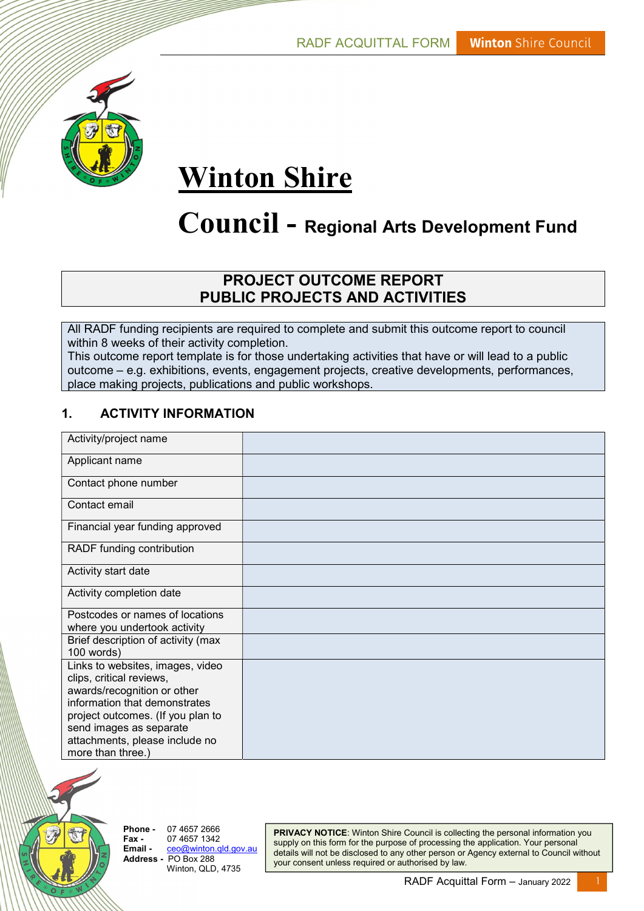

# Winton Shire

# Council - Regional Arts Development Fund

## PROJECT OUTCOME REPORT PUBLIC PROJECTS AND ACTIVITIES

All RADF funding recipients are required to complete and submit this outcome report to council within 8 weeks of their activity completion.

This outcome report template is for those undertaking activities that have or will lead to a public outcome – e.g. exhibitions, events, engagement projects, creative developments, performances, place making projects, publications and public workshops.

### 1. ACTIVITY INFORMATION

| Activity/project name                                           |  |
|-----------------------------------------------------------------|--|
| Applicant name                                                  |  |
| Contact phone number                                            |  |
| Contact email                                                   |  |
| Financial year funding approved                                 |  |
| RADF funding contribution                                       |  |
| Activity start date                                             |  |
| Activity completion date                                        |  |
| Postcodes or names of locations<br>where you undertook activity |  |
|                                                                 |  |
| Brief description of activity (max<br>100 words)                |  |
| Links to websites, images, video                                |  |
| clips, critical reviews,                                        |  |
| awards/recognition or other                                     |  |
| information that demonstrates                                   |  |
| project outcomes. (If you plan to                               |  |
| send images as separate                                         |  |
| attachments, please include no                                  |  |
| more than three.)                                               |  |



Phone - 07 4657 2666 Fax - 07 4657 1342 ceo@winton.gld.gov.au Address - PO Box 288 Winton, QLD, 4735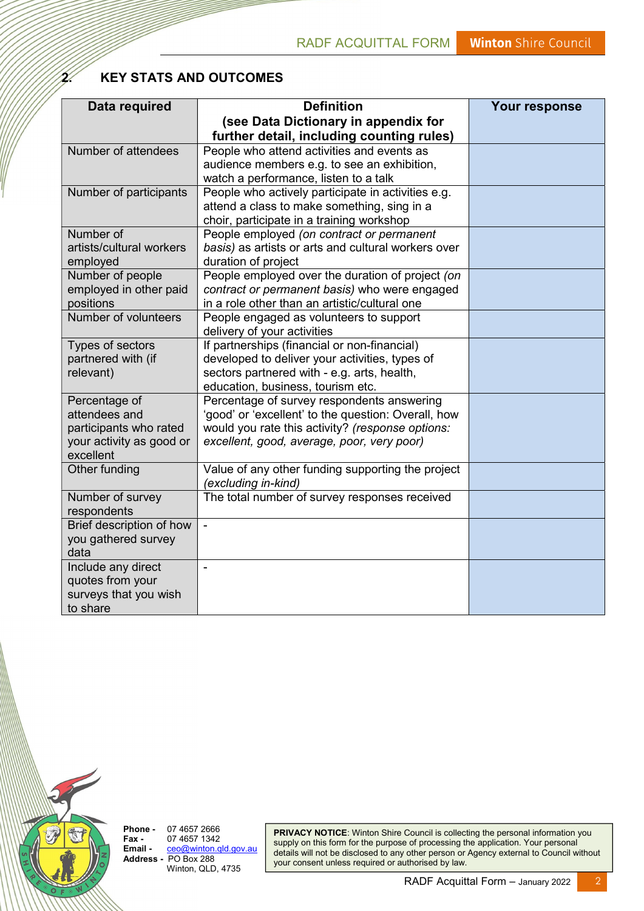# $2\%$  KEY STATS AND OUTCOMES

| Data required            | <b>Definition</b>                                                        | Your response |
|--------------------------|--------------------------------------------------------------------------|---------------|
|                          | (see Data Dictionary in appendix for                                     |               |
|                          | further detail, including counting rules)                                |               |
| Number of attendees      | People who attend activities and events as                               |               |
|                          | audience members e.g. to see an exhibition,                              |               |
|                          | watch a performance, listen to a talk                                    |               |
| Number of participants   | People who actively participate in activities e.g.                       |               |
|                          | attend a class to make something, sing in a                              |               |
|                          | choir, participate in a training workshop                                |               |
| Number of                | People employed (on contract or permanent                                |               |
| artists/cultural workers | basis) as artists or arts and cultural workers over                      |               |
| employed                 | duration of project                                                      |               |
| Number of people         | People employed over the duration of project (on                         |               |
| employed in other paid   | contract or permanent basis) who were engaged                            |               |
| positions                | in a role other than an artistic/cultural one                            |               |
| Number of volunteers     | People engaged as volunteers to support                                  |               |
|                          | delivery of your activities                                              |               |
| Types of sectors         | If partnerships (financial or non-financial)                             |               |
| partnered with (if       | developed to deliver your activities, types of                           |               |
| relevant)                | sectors partnered with - e.g. arts, health,                              |               |
|                          | education, business, tourism etc.                                        |               |
| Percentage of            | Percentage of survey respondents answering                               |               |
| attendees and            | 'good' or 'excellent' to the question: Overall, how                      |               |
| participants who rated   | would you rate this activity? (response options:                         |               |
| your activity as good or | excellent, good, average, poor, very poor)                               |               |
| excellent                |                                                                          |               |
| Other funding            | Value of any other funding supporting the project<br>(excluding in-kind) |               |
| Number of survey         | The total number of survey responses received                            |               |
| respondents              |                                                                          |               |
| Brief description of how | $\overline{a}$                                                           |               |
| you gathered survey      |                                                                          |               |
| data                     |                                                                          |               |
| Include any direct       |                                                                          |               |
| quotes from your         |                                                                          |               |
| surveys that you wish    |                                                                          |               |
| to share                 |                                                                          |               |



**Phone - 07 4657 2666<br>Fax - 07 4657 1342** Fax - 07 4657 1342<br>Email - ceo@winton.g Email - ceo@winton.qld.gov.au Address - PO Box 288 Winton, QLD, 4735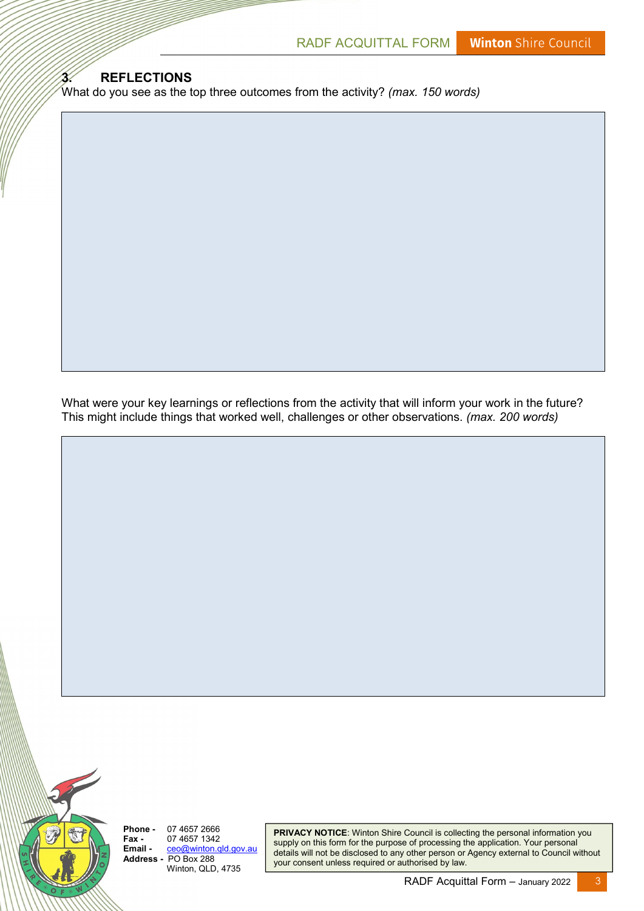#### 3. REFLECTIONS

What do you see as the top three outcomes from the activity? (max. 150 words)

What were your key learnings or reflections from the activity that will inform your work in the future? This might include things that worked well, challenges or other observations. (max. 200 words)



**Phone - 07 4657 2666<br>Fax - 07 4657 1342** Fax - 07 4657 1342<br>Email - ceo@winton.g ceo@winton.qld.gov.au Address - PO Box 288 Winton, QLD, 4735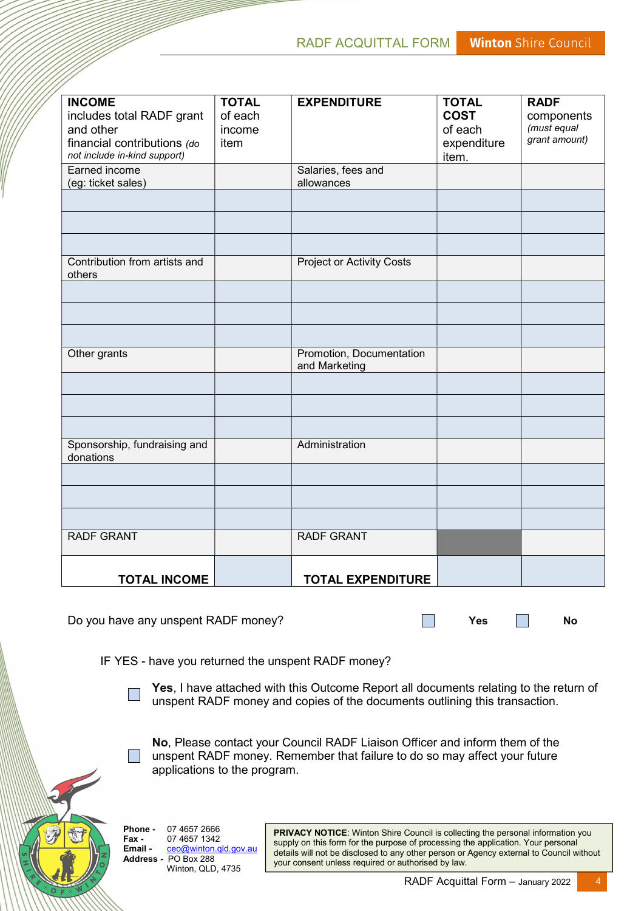| <b>INCOME</b><br>includes total RADF grant<br>and other<br>financial contributions (do<br>not include in-kind support) | <b>TOTAL</b><br>of each<br>income<br>item | <b>EXPENDITURE</b>                        | <b>TOTAL</b><br><b>COST</b><br>of each<br>expenditure<br>item. | <b>RADF</b><br>components<br>(must equal<br>grant amount) |
|------------------------------------------------------------------------------------------------------------------------|-------------------------------------------|-------------------------------------------|----------------------------------------------------------------|-----------------------------------------------------------|
| Earned income<br>(eg: ticket sales)                                                                                    |                                           | Salaries, fees and<br>allowances          |                                                                |                                                           |
|                                                                                                                        |                                           |                                           |                                                                |                                                           |
| Contribution from artists and<br>others                                                                                |                                           | <b>Project or Activity Costs</b>          |                                                                |                                                           |
|                                                                                                                        |                                           |                                           |                                                                |                                                           |
|                                                                                                                        |                                           |                                           |                                                                |                                                           |
| Other grants                                                                                                           |                                           | Promotion, Documentation<br>and Marketing |                                                                |                                                           |
|                                                                                                                        |                                           |                                           |                                                                |                                                           |
|                                                                                                                        |                                           |                                           |                                                                |                                                           |
| Sponsorship, fundraising and<br>donations                                                                              |                                           | Administration                            |                                                                |                                                           |
|                                                                                                                        |                                           |                                           |                                                                |                                                           |
|                                                                                                                        |                                           |                                           |                                                                |                                                           |
| <b>RADF GRANT</b>                                                                                                      |                                           | <b>RADF GRANT</b>                         |                                                                |                                                           |
| <b>TOTAL INCOME</b>                                                                                                    |                                           | <b>TOTAL EXPENDITURE</b>                  |                                                                |                                                           |

Do you have any unspent RADF money?  $\Box$  Yes  $\Box$  No

IF YES - have you returned the unspent RADF money?

Yes, I have attached with this Outcome Report all documents relating to the return of unspent RADF money and copies of the documents outlining this transaction.

No, Please contact your Council RADF Liaison Officer and inform them of the unspent RADF money. Remember that failure to do so may affect your future applications to the program.



**Phone - 07 4657 2666<br>Fax - 07 4657 1342** Fax - 07 4657 1342<br>Email - ceo@winton a ceo@winton.gld.gov.au Address - PO Box 288 Winton, QLD, 4735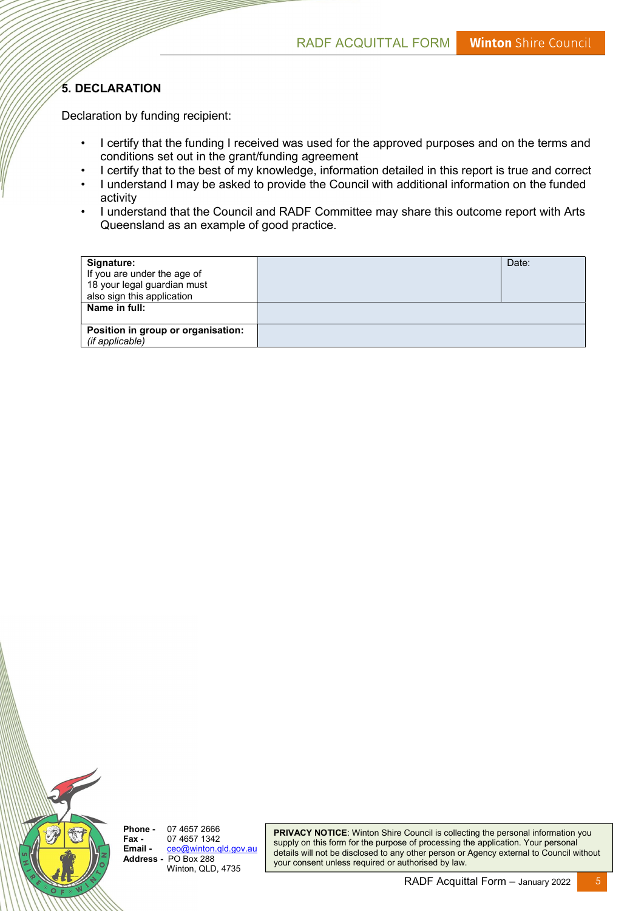## 5. DECLARATION

Declaration by funding recipient:

- I certify that the funding I received was used for the approved purposes and on the terms and conditions set out in the grant/funding agreement
- I certify that to the best of my knowledge, information detailed in this report is true and correct
- I understand I may be asked to provide the Council with additional information on the funded activity
- I understand that the Council and RADF Committee may share this outcome report with Arts Queensland as an example of good practice.

| Signature:                         | Date: |
|------------------------------------|-------|
| If you are under the age of        |       |
| 18 your legal guardian must        |       |
| also sign this application         |       |
| Name in full:                      |       |
|                                    |       |
| Position in group or organisation: |       |
| (if applicable)                    |       |



**Phone - 07 4657 2666<br>Fax - 07 4657 1342** Fax - 07 4657 1342<br>Email - ceo@winton a ceo@winton.qld.gov.au Address - PO Box 288 Winton, QLD, 4735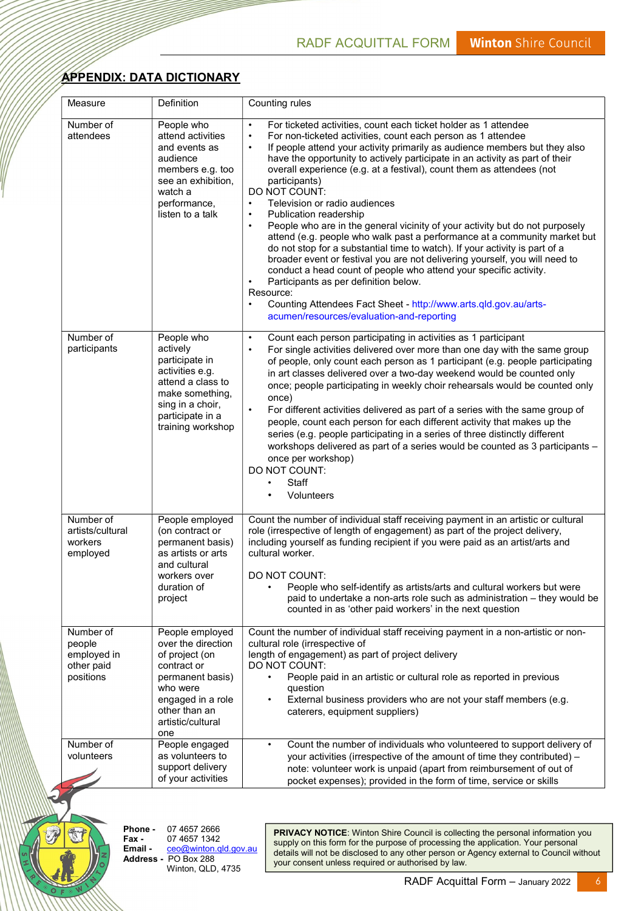#### **APPENDIX: DATA DICTIONARY**

| Measure                                                       | Definition                                                                                                                                                               | Counting rules                                                                                                                                                                                                                                                                                                                                                                                                                                                                                                                                                                                                                                                                                                                                                                                                                                                                                                                                                                                                                                                                                                   |
|---------------------------------------------------------------|--------------------------------------------------------------------------------------------------------------------------------------------------------------------------|------------------------------------------------------------------------------------------------------------------------------------------------------------------------------------------------------------------------------------------------------------------------------------------------------------------------------------------------------------------------------------------------------------------------------------------------------------------------------------------------------------------------------------------------------------------------------------------------------------------------------------------------------------------------------------------------------------------------------------------------------------------------------------------------------------------------------------------------------------------------------------------------------------------------------------------------------------------------------------------------------------------------------------------------------------------------------------------------------------------|
| Number of<br>attendees                                        | People who<br>attend activities<br>and events as<br>audience<br>members e.g. too<br>see an exhibition,<br>watch a<br>performance,<br>listen to a talk                    | For ticketed activities, count each ticket holder as 1 attendee<br>$\bullet$<br>For non-ticketed activities, count each person as 1 attendee<br>$\bullet$<br>If people attend your activity primarily as audience members but they also<br>٠<br>have the opportunity to actively participate in an activity as part of their<br>overall experience (e.g. at a festival), count them as attendees (not<br>participants)<br>DO NOT COUNT:<br>Television or radio audiences<br>Publication readership<br>$\bullet$<br>People who are in the general vicinity of your activity but do not purposely<br>$\bullet$<br>attend (e.g. people who walk past a performance at a community market but<br>do not stop for a substantial time to watch). If your activity is part of a<br>broader event or festival you are not delivering yourself, you will need to<br>conduct a head count of people who attend your specific activity.<br>Participants as per definition below.<br>$\bullet$<br>Resource:<br>Counting Attendees Fact Sheet - http://www.arts.qld.gov.au/arts-<br>acumen/resources/evaluation-and-reporting |
| Number of<br>participants                                     | People who<br>actively<br>participate in<br>activities e.g.<br>attend a class to<br>make something,<br>sing in a choir,<br>participate in a<br>training workshop         | Count each person participating in activities as 1 participant<br>$\bullet$<br>For single activities delivered over more than one day with the same group<br>$\bullet$<br>of people, only count each person as 1 participant (e.g. people participating<br>in art classes delivered over a two-day weekend would be counted only<br>once; people participating in weekly choir rehearsals would be counted only<br>once)<br>For different activities delivered as part of a series with the same group of<br>$\bullet$<br>people, count each person for each different activity that makes up the<br>series (e.g. people participating in a series of three distinctly different<br>workshops delivered as part of a series would be counted as 3 participants -<br>once per workshop)<br>DO NOT COUNT:<br>Staff<br>$\bullet$<br>Volunteers<br>٠                                                                                                                                                                                                                                                                 |
| Number of<br>artists/cultural<br>workers<br>employed          | People employed<br>(on contract or<br>permanent basis)<br>as artists or arts<br>and cultural<br>workers over<br>duration of<br>project                                   | Count the number of individual staff receiving payment in an artistic or cultural<br>role (irrespective of length of engagement) as part of the project delivery,<br>including yourself as funding recipient if you were paid as an artist/arts and<br>cultural worker.<br>DO NOT COUNT:<br>People who self-identify as artists/arts and cultural workers but were<br>paid to undertake a non-arts role such as administration - they would be<br>counted in as 'other paid workers' in the next question                                                                                                                                                                                                                                                                                                                                                                                                                                                                                                                                                                                                        |
| Number of<br>people<br>employed in<br>other paid<br>positions | People employed<br>over the direction<br>of project (on<br>contract or<br>permanent basis)<br>who were<br>engaged in a role<br>other than an<br>artistic/cultural<br>one | Count the number of individual staff receiving payment in a non-artistic or non-<br>cultural role (irrespective of<br>length of engagement) as part of project delivery<br>DO NOT COUNT:<br>People paid in an artistic or cultural role as reported in previous<br>question<br>External business providers who are not your staff members (e.g.<br>caterers, equipment suppliers)                                                                                                                                                                                                                                                                                                                                                                                                                                                                                                                                                                                                                                                                                                                                |
| Number of<br>volunteers                                       | People engaged<br>as volunteers to<br>support delivery<br>of your activities                                                                                             | Count the number of individuals who volunteered to support delivery of<br>your activities (irrespective of the amount of time they contributed) -<br>note: volunteer work is unpaid (apart from reimbursement of out of<br>pocket expenses); provided in the form of time, service or skills                                                                                                                                                                                                                                                                                                                                                                                                                                                                                                                                                                                                                                                                                                                                                                                                                     |



**Phone - 07 4657 2666<br>Fax - 07 4657 1342** Fax - 07 4657 1342<br>Email - ceo@winton.g Email - ceo@winton.qld.gov.au Address - PO Box 288 Winton, QLD, 4735